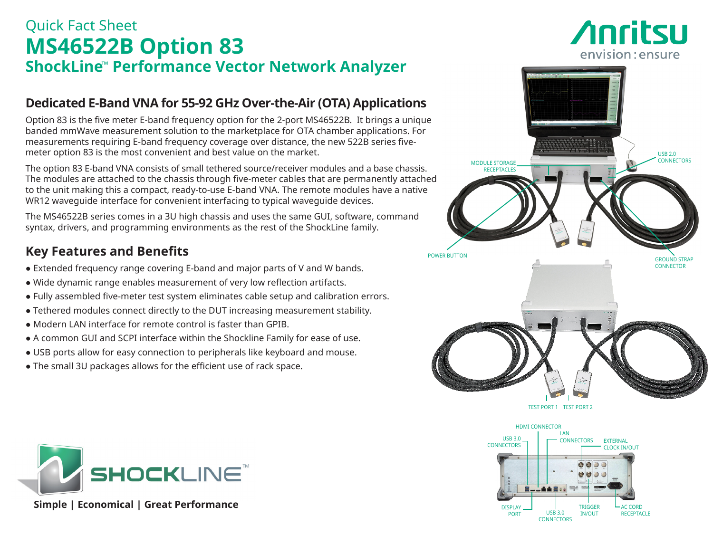# Quick Fact Sheet **MS46522B Option 83 ShockLine**™ **Performance Vector Network Analyzer**

## **Dedicated E-Band VNA for 55-92 GHz Over-the-Air (OTA) Applications**

Option 83 is the five meter E-band frequency option for the 2-port MS46522B. It brings a unique banded mmWave measurement solution to the marketplace for OTA chamber applications. For measurements requiring E-band frequency coverage over distance, the new 522B series fivemeter option 83 is the most convenient and best value on the market.

The option 83 E-band VNA consists of small tethered source/receiver modules and a base chassis. The modules are attached to the chassis through five-meter cables that are permanently attached to the unit making this a compact, ready-to-use E-band VNA. The remote modules have a native WR12 waveguide interface for convenient interfacing to typical waveguide devices.

The MS46522B series comes in a 3U high chassis and uses the same GUI, software, command syntax, drivers, and programming environments as the rest of the ShockLine family.

## **Key Features and Benefits**

- Extended frequency range covering E-band and major parts of V and W bands.
- Wide dynamic range enables measurement of very low reflection artifacts.
- Fully assembled five-meter test system eliminates cable setup and calibration errors.
- Tethered modules connect directly to the DUT increasing measurement stability.
- Modern LAN interface for remote control is faster than GPIB.
- A common GUI and SCPI interface within the Shockline Family for ease of use.
- USB ports allow for easy connection to peripherals like keyboard and mouse.
- The small 3U packages allows for the efficient use of rack space.



*Anritsu* 

envision: ensure





 **Simple | Economical | Great Performance**